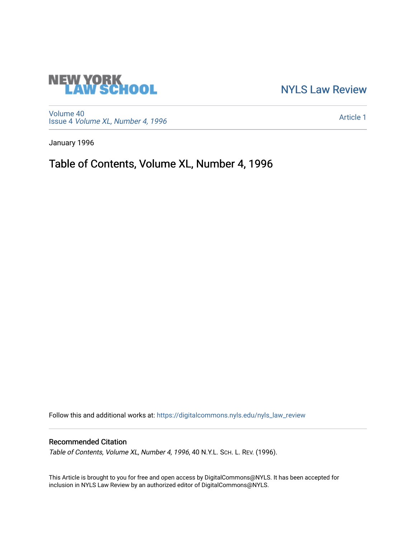# **NEW YORK<br>LAW SCHOOL**

[NYLS Law Review](https://digitalcommons.nyls.edu/nyls_law_review) 

[Volume 40](https://digitalcommons.nyls.edu/nyls_law_review/vol40) Issue 4 [Volume XL, Number 4, 1996](https://digitalcommons.nyls.edu/nyls_law_review/vol40/iss4)

[Article 1](https://digitalcommons.nyls.edu/nyls_law_review/vol40/iss4/1) 

January 1996

Table of Contents, Volume XL, Number 4, 1996

Follow this and additional works at: [https://digitalcommons.nyls.edu/nyls\\_law\\_review](https://digitalcommons.nyls.edu/nyls_law_review?utm_source=digitalcommons.nyls.edu%2Fnyls_law_review%2Fvol40%2Fiss4%2F1&utm_medium=PDF&utm_campaign=PDFCoverPages) 

### Recommended Citation

Table of Contents, Volume XL, Number 4, 1996, 40 N.Y.L. Sch. L. REV. (1996).

This Article is brought to you for free and open access by DigitalCommons@NYLS. It has been accepted for inclusion in NYLS Law Review by an authorized editor of DigitalCommons@NYLS.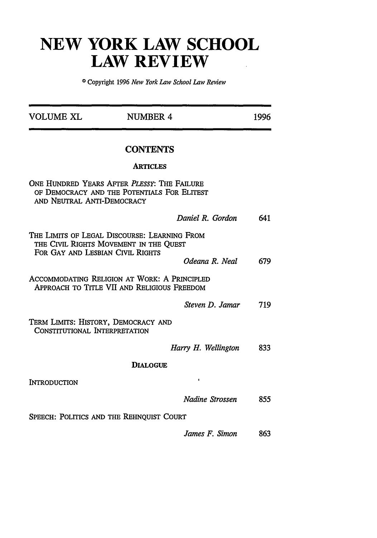## **NEW YORK LAW SCHOOL LAW REVIEW**

© Copyright 1996 *New York Law School Law Review*

| <b>VOLUME XL</b>                                                     | <b>NUMBER 4</b>                                                                             | 1996 |
|----------------------------------------------------------------------|---------------------------------------------------------------------------------------------|------|
|                                                                      | <b>CONTENTS</b>                                                                             |      |
|                                                                      | <b>ARTICLES</b>                                                                             |      |
| AND NEUTRAL ANTI-DEMOCRACY                                           | ONE HUNDRED YEARS AFTER PLESSY: THE FAILURE<br>OF DEMOCRACY AND THE POTENTIALS FOR ELITEST  |      |
|                                                                      | Daniel R. Gordon                                                                            | 641  |
| FOR GAY AND LESBIAN CIVIL RIGHTS                                     | THE LIMITS OF LEGAL DISCOURSE: LEARNING FROM<br>THE CIVIL RIGHTS MOVEMENT IN THE QUEST      |      |
|                                                                      | Odeana R. Neal                                                                              | 679  |
|                                                                      | ACCOMMODATING RELIGION AT WORK: A PRINCIPLED<br>APPROACH TO TITLE VII AND RELIGIOUS FREEDOM |      |
|                                                                      | Steven D. Jamar                                                                             | 719  |
| TERM LIMITS: HISTORY, DEMOCRACY AND<br>CONSTITUTIONAL INTERPRETATION |                                                                                             |      |
|                                                                      | Harry H. Wellington                                                                         | 833  |
|                                                                      | <b>DIALOGUE</b>                                                                             |      |
| INTRODUCTION                                                         |                                                                                             |      |
|                                                                      | Nadine Strossen                                                                             | 855  |
|                                                                      | SPEECH: POLITICS AND THE REHNQUIST COURT                                                    |      |
|                                                                      | James F. Simon                                                                              | 863  |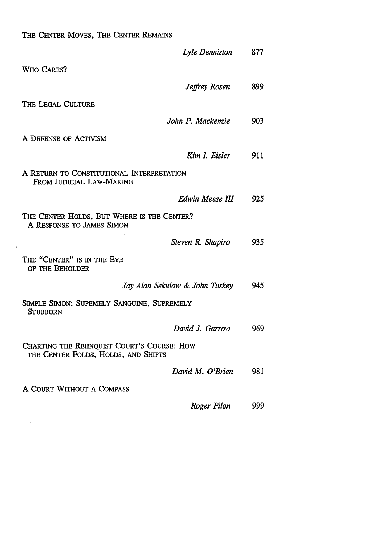### THE CENTER MOVES, THE CENTER REMAINS

 $\Delta$ 

 $\hat{\beta}$ 

|                                                                                   | Lyle Denniston                 | 877 |
|-----------------------------------------------------------------------------------|--------------------------------|-----|
| WHO CARES?                                                                        |                                |     |
|                                                                                   | Jeffrey Rosen                  | 899 |
| THE LEGAL CULTURE                                                                 |                                |     |
|                                                                                   | John P. Mackenzie              | 903 |
| A DEFENSE OF ACTIVISM                                                             |                                |     |
|                                                                                   | Kim I. Eisler                  | 911 |
| A RETURN TO CONSTITUTIONAL INTERPRETATION<br>FROM JUDICIAL LAW-MAKING             |                                |     |
|                                                                                   | Edwin Meese III                | 925 |
| THE CENTER HOLDS, BUT WHERE IS THE CENTER?<br>A RESPONSE TO JAMES SIMON           |                                |     |
|                                                                                   | Steven R. Shapiro              | 935 |
| THE "CENTER" IS IN THE EYE<br>OF THE BEHOLDER                                     |                                |     |
|                                                                                   | Jay Alan Sekulow & John Tuskey | 945 |
| SIMPLE SIMON: SUPEMELY SANGUINE, SUPREMELY<br><b>STUBBORN</b>                     |                                |     |
|                                                                                   | David J. Garrow                | 969 |
| CHARTING THE REHNQUIST COURT'S COURSE: HOW<br>THE CENTER FOLDS, HOLDS, AND SHIFTS |                                |     |
|                                                                                   | David M. O'Brien               | 981 |
| A COURT WITHOUT A COMPASS                                                         |                                |     |
|                                                                                   | Roger Pilon                    | 999 |